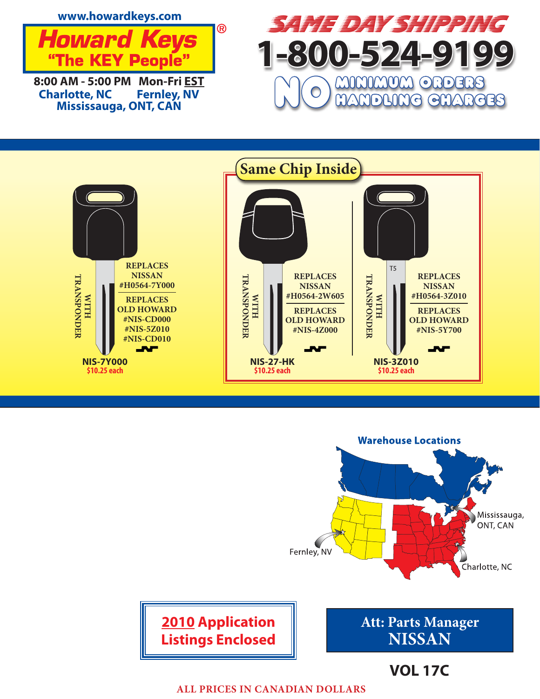







**ALL PRICES IN CANADIAN DOLLARS**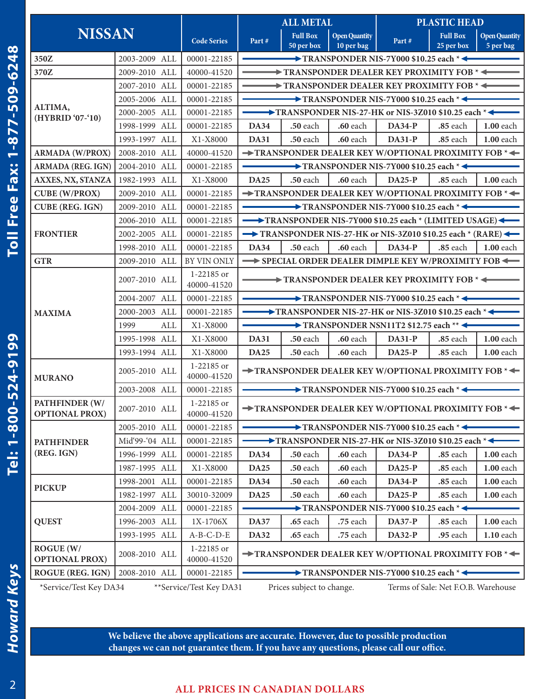| <b>NISSAN</b>                             |                                                                                                                        |                           | <b>ALL METAL</b>                                                                                                                     |                                              | <b>PLASTIC HEAD</b>                |                                                    |                               |                                   |  |
|-------------------------------------------|------------------------------------------------------------------------------------------------------------------------|---------------------------|--------------------------------------------------------------------------------------------------------------------------------------|----------------------------------------------|------------------------------------|----------------------------------------------------|-------------------------------|-----------------------------------|--|
|                                           |                                                                                                                        | <b>Code Series</b>        | Part#                                                                                                                                | <b>Full Box</b><br>$50$ per $\overline{box}$ | <b>Open Quantity</b><br>10 per bag | Part#                                              | <b>Full Box</b><br>25 per box | <b>Open Quantity</b><br>5 per bag |  |
| 350Z                                      | 2003-2009 ALL                                                                                                          | 00001-22185               |                                                                                                                                      |                                              |                                    |                                                    |                               |                                   |  |
| 370Z                                      | 2009-2010 ALL                                                                                                          | 40000-41520               | $\rightarrow$ TRANSPONDER NIS-7Y000 \$10.25 each $* \leftarrow$<br>$\rightarrow$ TRANSPONDER DEALER KEY PROXIMITY FOB $* \leftarrow$ |                                              |                                    |                                                    |                               |                                   |  |
|                                           | 2007-2010 ALL                                                                                                          | 00001-22185               | $\rightarrow$ TRANSPONDER DEALER KEY PROXIMITY FOB $* \leftarrow$                                                                    |                                              |                                    |                                                    |                               |                                   |  |
|                                           | 2005-2006 ALL                                                                                                          | 00001-22185               | $\longrightarrow$ TRANSPONDER NIS-7Y000 \$10.25 each $* \leftarrow$                                                                  |                                              |                                    |                                                    |                               |                                   |  |
| ALTIMA,<br>(HYBRID '07-'10)               | 2000-2005 ALL                                                                                                          | 00001-22185               | $\longrightarrow$ TRANSPONDER NIS-27-HK or NIS-3Z010 \$10.25 each $* \leftarrow$                                                     |                                              |                                    |                                                    |                               |                                   |  |
|                                           | 1998-1999 ALL                                                                                                          | 00001-22185               | <b>DA34</b>                                                                                                                          | .50 each                                     | <b>.60</b> each                    | $DA34-P$                                           | .85 each                      | <b>1.00</b> each                  |  |
|                                           | 1993-1997 ALL                                                                                                          | X1-X8000                  | <b>DA31</b>                                                                                                                          | $.50$ each                                   | <b>.60</b> each                    | $DA31-P$                                           | $.85$ each                    | $1.00$ each                       |  |
| <b>ARMADA (W/PROX)</b>                    | 2008-2010 ALL                                                                                                          | 40000-41520               |                                                                                                                                      |                                              |                                    | TRANSPONDER DEALER KEY W/OPTIONAL PROXIMITY FOB *< |                               |                                   |  |
| <b>ARMADA (REG. IGN)</b>                  | 2004-2010 ALL                                                                                                          | 00001-22185               | TRANSPONDER NIS-7Y000 \$10.25 each *<                                                                                                |                                              |                                    |                                                    |                               |                                   |  |
| AXXES, NX, STANZA                         | 1982-1993 ALL                                                                                                          | X1-X8000                  | $DA25-P$<br><b>DA25</b><br>.50 each<br>.60 each<br>.85 each                                                                          |                                              |                                    |                                                    |                               | 1.00 each                         |  |
| <b>CUBE (W/PROX)</b>                      | 2009-2010 ALL                                                                                                          | 00001-22185               | $\rightarrow$ TRANSPONDER DEALER KEY W/OPTIONAL PROXIMITY FOB $* \leftarrow$                                                         |                                              |                                    |                                                    |                               |                                   |  |
| <b>CUBE (REG. IGN)</b>                    | 2009-2010 ALL                                                                                                          | 00001-22185               | $\rightarrow$ TRANSPONDER NIS-7Y000 \$10.25 each $*$                                                                                 |                                              |                                    |                                                    |                               |                                   |  |
|                                           | 2006-2010 ALL                                                                                                          | 00001-22185               | TRANSPONDER NIS-7Y000 \$10.25 each * (LIMITED USAGE)                                                                                 |                                              |                                    |                                                    |                               |                                   |  |
| <b>FRONTIER</b>                           | 2002-2005 ALL                                                                                                          | 00001-22185               | TRANSPONDER NIS-27-HK or NIS-3Z010 \$10.25 each * (RARE)                                                                             |                                              |                                    |                                                    |                               |                                   |  |
|                                           | 1998-2010 ALL                                                                                                          | 00001-22185               | <b>DA34</b>                                                                                                                          | .50 each                                     | .60 each                           | $DA34-P$                                           | .85 each                      | <b>1.00</b> each                  |  |
| <b>GTR</b>                                | 2009-2010 ALL                                                                                                          | BY VIN ONLY               |                                                                                                                                      |                                              |                                    | SPECIAL ORDER DEALER DIMPLE KEY W/PROXIMITY FOB    |                               |                                   |  |
| <b>MAXIMA</b>                             | 2007-2010 ALL                                                                                                          | 1-22185 or<br>40000-41520 | TRANSPONDER DEALER KEY PROXIMITY FOB *                                                                                               |                                              |                                    |                                                    |                               |                                   |  |
|                                           | 2004-2007 ALL                                                                                                          | 00001-22185               | $\rightarrow$ TRANSPONDER NIS-7Y000 \$10.25 each $*$                                                                                 |                                              |                                    |                                                    |                               |                                   |  |
|                                           | 2000-2003 ALL                                                                                                          | 00001-22185               | $\longrightarrow$ TRANSPONDER NIS-27-HK or NIS-3Z010 \$10.25 each $* \leftarrow$                                                     |                                              |                                    |                                                    |                               |                                   |  |
|                                           | ALL<br>1999                                                                                                            | X1-X8000                  | $\rightarrow$ TRANSPONDER NSN11T2 \$12.75 each ** $\leftarrow$                                                                       |                                              |                                    |                                                    |                               |                                   |  |
|                                           | 1995-1998 ALL                                                                                                          | X1-X8000                  | <b>DA31</b>                                                                                                                          | .50 each                                     | .60 each                           | <b>DA31-P</b>                                      | .85 each                      | 1.00 each                         |  |
|                                           | 1993-1994 ALL                                                                                                          | X1-X8000                  | <b>DA25</b>                                                                                                                          | <b>.50</b> each                              | .60 each                           | $DA25-P$                                           | .85 each                      | 1.00 each                         |  |
| <b>MURANO</b>                             | 2005-2010 ALL                                                                                                          | 1-22185 or<br>40000-41520 | TRANSPONDER DEALER KEY W/OPTIONAL PROXIMITY FOB *                                                                                    |                                              |                                    |                                                    |                               |                                   |  |
|                                           | 2003-2008 ALL                                                                                                          | 00001-22185               | $\rightarrow$ TRANSPONDER NIS-7Y000 \$10.25 each $* \leftarrow$                                                                      |                                              |                                    |                                                    |                               |                                   |  |
| PATHFINDER (W/<br><b>OPTIONAL PROX)</b>   | 2007-2010 ALL                                                                                                          | 1-22185 or<br>40000-41520 | TRANSPONDER DEALER KEY W/OPTIONAL PROXIMITY FOB *<                                                                                   |                                              |                                    |                                                    |                               |                                   |  |
|                                           | 2005-2010 ALL                                                                                                          | 00001-22185               | $\rightarrow$ TRANSPONDER NIS-7Y000 \$10.25 each $*$                                                                                 |                                              |                                    |                                                    |                               |                                   |  |
| <b>PATHFINDER</b>                         | Mid'99-'04 ALL                                                                                                         | 00001-22185               | $\rightarrow$ TRANSPONDER NIS-27-HK or NIS-3Z010 \$10.25 each $* \leftarrow$                                                         |                                              |                                    |                                                    |                               |                                   |  |
| (REG. IGN)                                | 1996-1999 ALL                                                                                                          | 00001-22185               | <b>DA34</b>                                                                                                                          | .50 each                                     | .60 each                           | <b>DA34-P</b>                                      | .85 each                      | <b>1.00</b> each                  |  |
|                                           | 1987-1995 ALL                                                                                                          | X1-X8000                  | <b>DA25</b>                                                                                                                          | .50 each                                     | .60 each                           | $DA25-P$                                           | .85 each                      | 1.00 each                         |  |
| <b>PICKUP</b>                             | 1998-2001 ALL                                                                                                          | 00001-22185               | <b>DA34</b>                                                                                                                          | .50 each                                     | .60 each                           | <b>DA34-P</b>                                      | .85 each                      | $1.00$ each                       |  |
|                                           | 1982-1997 ALL                                                                                                          | 30010-32009               | <b>DA25</b>                                                                                                                          | .50 each                                     | .60 each                           | $DA25-P$                                           | .85 each                      | 1.00 each                         |  |
| <b>QUEST</b>                              | 2004-2009 ALL                                                                                                          | 00001-22185               | $\rightarrow$ TRANSPONDER NIS-7Y000 \$10.25 each $*$                                                                                 |                                              |                                    |                                                    |                               |                                   |  |
|                                           | 1996-2003 ALL                                                                                                          | 1X-1706X                  | <b>DA37</b>                                                                                                                          | .65 each                                     | .75 each                           | <b>DA37-P</b>                                      | .85 each                      | <b>1.00 each</b>                  |  |
|                                           | 1993-1995 ALL                                                                                                          | $A-B-C-D-E$               | <b>DA32</b>                                                                                                                          | .65 each                                     | .75 each                           | <b>DA32-P</b>                                      | .95 each                      | 1.10 each                         |  |
| <b>ROGUE (W/</b><br><b>OPTIONAL PROX)</b> | 2008-2010 ALL                                                                                                          | 1-22185 or<br>40000-41520 | TRANSPONDER DEALER KEY W/OPTIONAL PROXIMITY FOB *<                                                                                   |                                              |                                    |                                                    |                               |                                   |  |
| <b>ROGUE (REG. IGN)</b>                   | 2008-2010 ALL                                                                                                          | 00001-22185               | $\rightarrow$ TRANSPONDER NIS-7Y000 \$10.25 each $*$                                                                                 |                                              |                                    |                                                    |                               |                                   |  |
|                                           | *Service/Test Key DA34<br>** Service/Test Key DA31<br>Terms of Sale: Net F.O.B. Warehouse<br>Prices subject to change. |                           |                                                                                                                                      |                                              |                                    |                                                    |                               |                                   |  |

*Howard Keys* **Tel: 1-800-524-9199 Toll Free Fax: 1-877-509-6248 Howard Keys** 

Tel: 1-800-524-9199

Toll Free Fax: 1-877-509-6248

2

## **ALL PRICES IN CANADIAN DOLLARS**

**We believe the above applications are accurate. However, due to possible production changes we can not guarantee them. If you have any questions, please call our office.**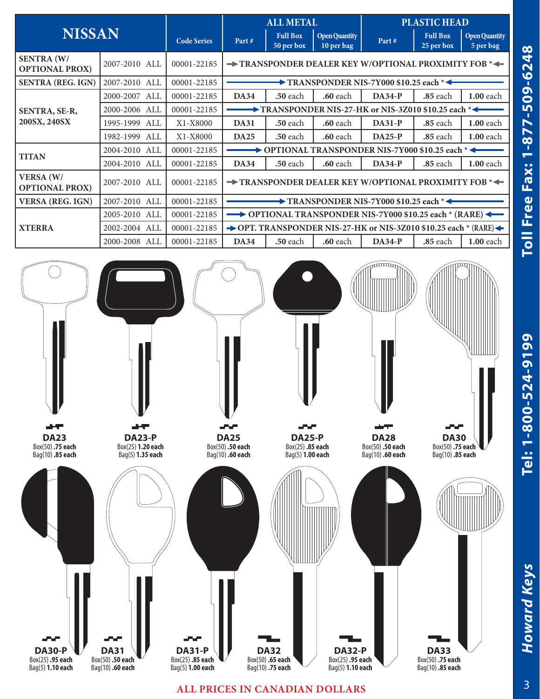| <b>NISSAN</b>                              |                  |                    | <b>ALL METAL</b>                                                            |                               |                                    | <b>PLASTIC HEAD</b> |                               |                                   |  |  |
|--------------------------------------------|------------------|--------------------|-----------------------------------------------------------------------------|-------------------------------|------------------------------------|---------------------|-------------------------------|-----------------------------------|--|--|
|                                            |                  | <b>Code Series</b> | Part#                                                                       | <b>Full Box</b><br>50 per box | <b>Open Quantity</b><br>10 per bag | Part#               | <b>Full Box</b><br>25 per box | <b>Open Quantity</b><br>5 per bag |  |  |
| <b>SENTRA (W/</b><br><b>OPTIONAL PROX)</b> | 2007-2010 ALL    | 00001-22185        | $\rightarrow$ TRANSPONDER DEALER KEY W/OPTIONAL PROXIMITY FOB $\rightarrow$ |                               |                                    |                     |                               |                                   |  |  |
| <b>SENTRA (REG. IGN)</b>                   | 2007-2010 ALL    | 00001-22185        | $\rightarrow$ TRANSPONDER NIS-7Y000 \$10.25 each $* \leftarrow$             |                               |                                    |                     |                               |                                   |  |  |
| SENTRA, SE-R,<br>200SX, 240SX              | 2000-2007 ALL    | 00001-22185        | <b>DA34</b>                                                                 | <b>.50</b> each               | <b>.60</b> each                    | $DA34-P$            | <b>.85</b> each               | $1.00$ each                       |  |  |
|                                            | 2000-2006 ALL    | 00001-22185        | $\rightarrow$ TRANSPONDER NIS-27-HK or NIS-3Z010 \$10.25 each $*$           |                               |                                    |                     |                               |                                   |  |  |
|                                            | 1995-1999<br>ALL | X1-X8000           | <b>DA31</b>                                                                 | <b>.50</b> each               | <b>.60</b> each                    | $DA31-P$            | <b>.85</b> each               | <b>1.00</b> each                  |  |  |
|                                            | 1982-1999 ALL    | X1-X8000           | <b>DA25</b>                                                                 | <b>.50</b> each               | <b>.60</b> each                    | $DA25-P$            | <b>.85</b> each               | <b>1.00 each</b>                  |  |  |
| <b>TITAN</b>                               | 2004-2010 ALL    | 00001-22185        | OPTIONAL TRANSPONDER NIS-7Y000 \$10.25 each *<                              |                               |                                    |                     |                               |                                   |  |  |
|                                            | 2004-2010 ALL    | 00001-22185        | <b>DA34</b>                                                                 | <b>.50 each</b>               | <b>.60</b> each                    | $DA34-P$            | <b>.85</b> each               | <b>1.00</b> each                  |  |  |
| <b>VERSA</b> (W/<br><b>OPTIONAL PROX)</b>  | 2007-2010 ALL    | 00001-22185        | $\rightarrow$ TRANSPONDER DEALER KEY W/OPTIONAL PROXIMITY FOB $\ast$        |                               |                                    |                     |                               |                                   |  |  |
| <b>VERSA (REG. IGN)</b>                    | 2007-2010 ALL    | 00001-22185        | $\rightarrow$ TRANSPONDER NIS-7Y000 \$10.25 each $* \leftarrow$             |                               |                                    |                     |                               |                                   |  |  |
| <b>XTERRA</b>                              | 2005-2010 ALL    | 00001-22185        | $\rightarrow$ OPTIONAL TRANSPONDER NIS-7Y000 \$10.25 each $*$ (RARE)        |                               |                                    |                     |                               |                                   |  |  |
|                                            | 2002-2004 ALL    | 00001-22185        | → OPT. TRANSPONDER NIS-27-HK or NIS-3Z010 \$10.25 each $*$ (RARE) ←         |                               |                                    |                     |                               |                                   |  |  |
|                                            | 2000-2008 ALL    | 00001-22185        | <b>DA34</b>                                                                 | <b>.50</b> each               | <b>.60</b> each                    | $DA34-P$            | <b>.85</b> each               | $1.00$ each                       |  |  |



## **ALL PRICES IN CANADIAN DOLLARS**

**Howard Keys** 

*Howard Keys* **Tel: 1-800-524-9199 Toll Free Fax: 1-877-509-6248**

Tel: 1-800-524-9199

Toll Free Fax: 1-877-509-6248